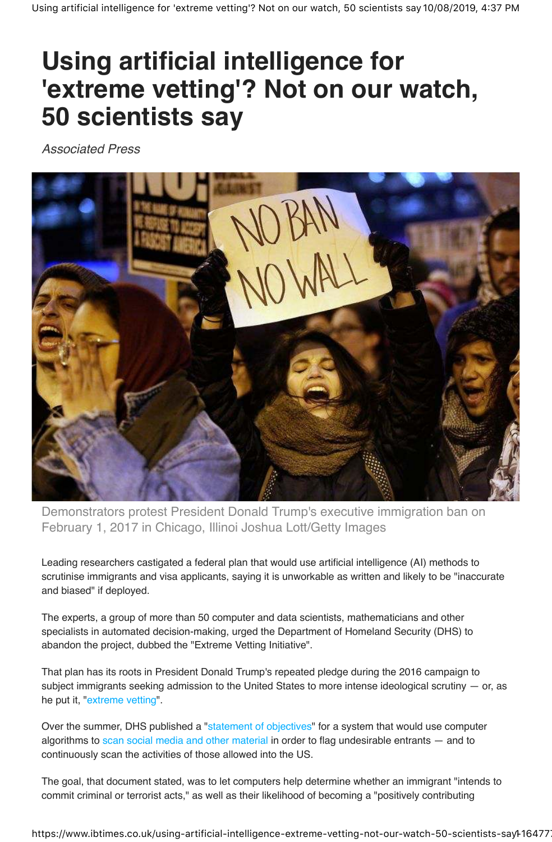## **Using artificial intelligence for 'extreme vetting'? Not on our watch, 50 scientists say**

Associated Press



Demonstrators protest President Donald Trump's executive immigration ban on February 1, 2017 in Chicago, Illinoi Joshua Lott/Getty Images

Leading researchers castigated a federal plan that would use artificial intelligence (AI) methods to scrutinise immigrants and visa applicants, saying it is unworkable as written and likely to be "inaccurate and biased" if deployed.

The experts, a group of more than 50 computer and data scientists, mathematicians and other specialists in automated decision-making, urged the Department of Homeland Security (DHS) to abandon the project, dubbed the "Extreme Vetting Initiative".

That plan has its roots in President Donald Trump's repeated pledge during the 2016 campaign to subject immigrants seeking admission to the United States to more intense ideological scrutiny  $-$  or, as he put it, "extreme vetting".

Over the summer, DHS published a "statement of objectives" for a system that would use computer algorithms to scan social media and other material in order to flag undesirable entrants — and to continuously scan the activities of those allowed into the US.

The goal, that document stated, was to let computers help determine whether an immigrant "intends to commit criminal or terrorist acts," as well as their likelihood of becoming a "positively contributing

https://www.ibtimes.co.uk/using-artificial-intelligence-extreme-vetting-not-our-watch-50-scientists-sayl-16477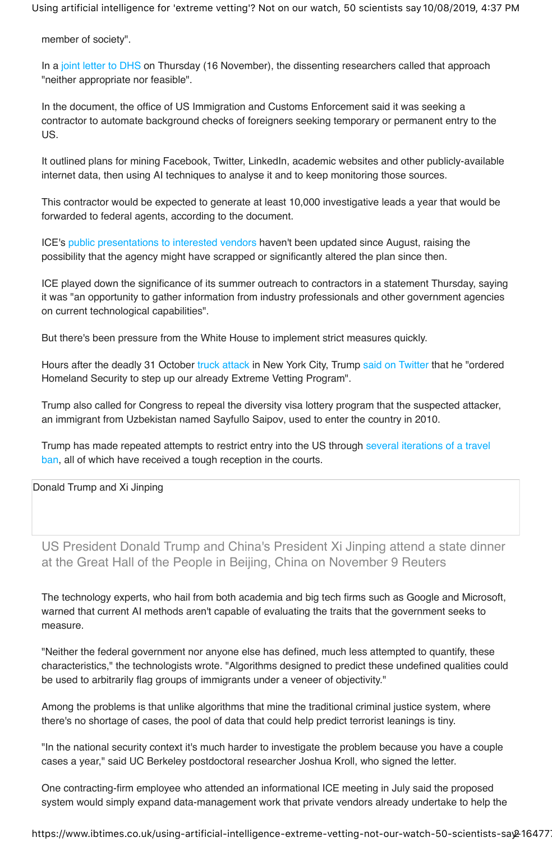Using artificial intelligence for 'extreme vetting'? Not on our watch, 50 scientists say 10/08/2019, 4:37 PM

member of society".

In a joint letter to DHS on Thursday (16 November), the dissenting researchers called that approach "neither appropriate nor feasible".

In the document, the office of US Immigration and Customs Enforcement said it was seeking a contractor to automate background checks of foreigners seeking temporary or permanent entry to the US.

It outlined plans for mining Facebook, Twitter, LinkedIn, academic websites and other publicly-available internet data, then using AI techniques to analyse it and to keep monitoring those sources.

This contractor would be expected to generate at least 10,000 investigative leads a year that would be forwarded to federal agents, according to the document.

ICE's public presentations to interested vendors haven't been updated since August, raising the possibility that the agency might have scrapped or significantly altered the plan since then.

ICE played down the significance of its summer outreach to contractors in a statement Thursday, saying it was "an opportunity to gather information from industry professionals and other government agencies on current technological capabilities".

But there's been pressure from the White House to implement strict measures quickly.

Hours after the deadly 31 October truck attack in New York City, Trump said on Twitter that he "ordered Homeland Security to step up our already Extreme Vetting Program".

Trump also called for Congress to repeal the diversity visa lottery program that the suspected attacker, an immigrant from Uzbekistan named Sayfullo Saipov, used to enter the country in 2010.

Trump has made repeated attempts to restrict entry into the US through several iterations of a travel ban, all of which have received a tough reception in the courts.

Donald Trump and Xi Jinping

US President Donald Trump and China's President Xi Jinping attend a state dinner at the Great Hall of the People in Beijing, China on November 9 Reuters

The technology experts, who hail from both academia and big tech firms such as Google and Microsoft, warned that current AI methods aren't capable of evaluating the traits that the government seeks to measure.

"Neither the federal government nor anyone else has defined, much less attempted to quantify, these characteristics," the technologists wrote. "Algorithms designed to predict these undefined qualities could be used to arbitrarily flag groups of immigrants under a veneer of objectivity."

Among the problems is that unlike algorithms that mine the traditional criminal justice system, where there's no shortage of cases, the pool of data that could help predict terrorist leanings is tiny.

"In the national security context it's much harder to investigate the problem because you have a couple cases a year," said UC Berkeley postdoctoral researcher Joshua Kroll, who signed the letter.

One contracting-firm employee who attended an informational ICE meeting in July said the proposed system would simply expand data-management work that private vendors already undertake to help the

https://www.ibtimes.co.uk/using-artificial-intelligence-extreme-vetting-not-our-watch-50-scientists-say 216477